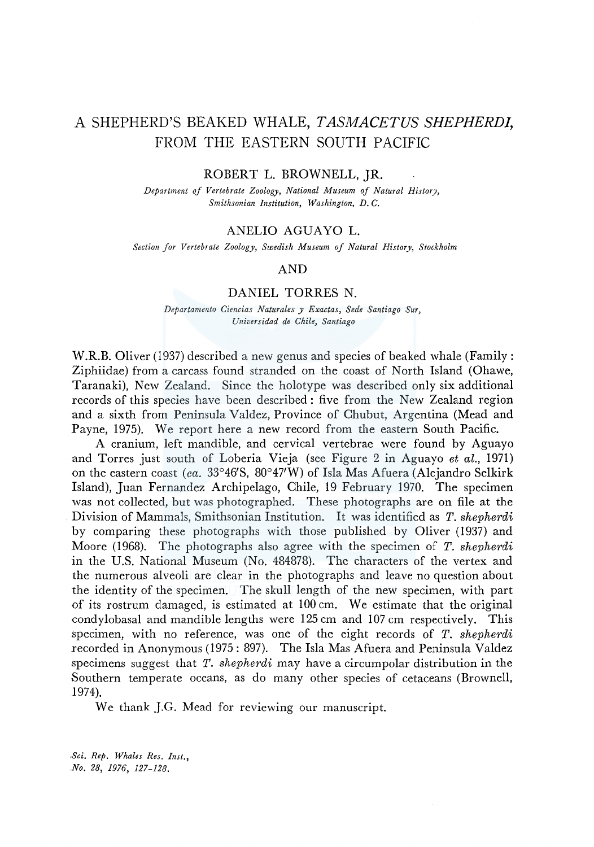# A SHEPHERD'S BEAKED WHALE, TASMACETUS SHEPHERDI, FROM THE EASTERN SOUTH PACIFIC

# ROBERT L. BROWNELL, JR.

*Department of Vertebrate Zoology, National Museum of Natural History, Smithsonian Institution, Washington, D. C.* 

# ANELIO AGUAYO L.

*Section for Vertebrate Zoology, Swedish Museum of Natural History, Stockholm* 

# AND

# DANIEL TORRES N.

*Departamento Ciencias Naturales y Exactas, Sede Santiago Sur, Universidad de Chile, Santiago* 

W.R.B. Oliver (1937) described a new genus and species of beaked whale (Family: Ziphiidae) from a carcass found stranded on the coast of North Island (Ohawe, Taranaki), New Zealand. Since the holotype was described only six additional records of this species have been described: five from the New Zealand region and a sixth from Peninsula Valdez, Province of Chubut, Argentina (Mead and Payne, 1975). We report here a new record from the eastern South Pacific.

A cranium, left mandible, and cervical vertebrae were found by Aguayo and Torres just south of Loberia Vieja (see Figure 2 in Aguayo *et al.,* 1971) on the eastern coast (ea. 33°46'S, 80°47'W) of Isla Mas Afuera (Alejandro Selkirk Island), Juan Fernandez Archipelago, Chile, 19 February 1970. The specimen was not collected, but was photographed. These photographs are on file at the Division of Mammals, Smithsonian Institution. It was identified as *T. shepherdi*  by comparing these photographs with those published by Oliver (1937) and Moore (1968). The photographs also agree with the specimen of *T. shepherdi*  in the U.S. National Museum (No. 484878). The characters of the vertex and the numerous alveoli are clear in the photographs and leave no question about the identity of the specimen. The skull length of the new specimen, with part of its rostrum damaged, is estimated at 100 cm. We estimate that the original condylobasal and mandible lengths were 125 cm and 107 cm respectively. This specimen, with no reference, was one of the eight records of *T. shepherdi*  recorded in Anonymous (1975: 897). The Isla Mas Afuera and Peninsula Valdez specimens suggest that *T. shepherdi* may have a circumpolar distribution in the Southern temperate oceans, as do many other species of cetaceans (Brownell, 1974).

We thank J.G. Mead for reviewing our manuscript.

*.Sci. Rep. Whales Res. Inst., No. 28, 1976, 127-128.*